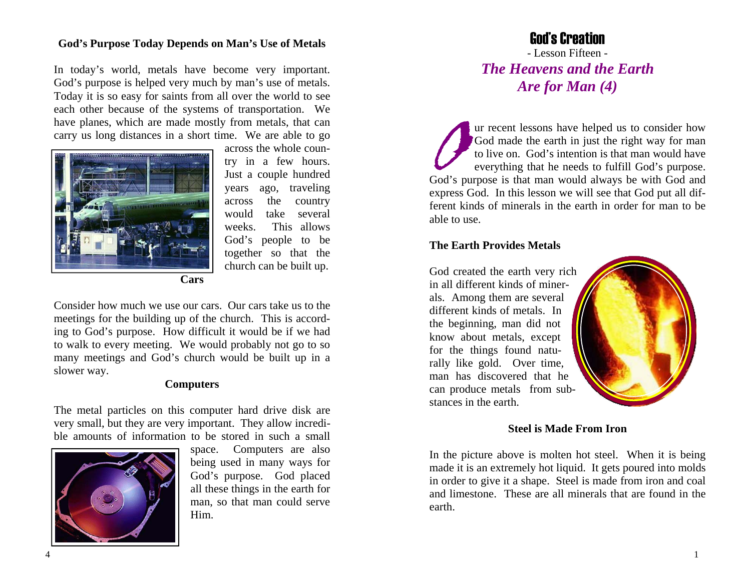## **God's Purpose Today Depends on Man's Use of Metals**

In today's world, metals have become very important. God's purpose is helped very much by man's use of metals. Today it is so easy for saints from all over the world to see each other because of the systems of transportation. We have planes, which are made mostly from metals, that can carry us long distances in a short time. We are able to go



across the whole country in a few hours. Just a couple hundred years ago, traveling across the country would take several weeks. This allows God's people to be together so that the church can be built up.

**Cars** 

Consider how much we use our cars. Our cars take us to the meetings for the building up of the church. This is according to God's purpose. How difficult it would be if we had to walk to every meeting. We would probably not go to so many meetings and God's church would be built up in a slower way.

#### **Computers**

The metal particles on this computer hard drive disk are very small, but they are very important. They allow incredible amounts of information to be stored in such a small



space. Computers are also being used in many ways for God's purpose. God placed all these things in the earth for man, so that man could serve Him.

# God's Creation

- Lesson Fifteen - *The Heavens and the Earth Are for Man (4)* 

Our recent lessons have helped us to consider how God made the earth in just the right way for man to live on. God's intention is that man would have everything that he needs to fulfill God's purpose. God's purpose is that man would always be with God and express God. In this lesson we will see that God put all different kinds of minerals in the earth in order for man to be able to use.

## **The Earth Provides Metals**

God created the earth very rich in all different kinds of minerals. Among them are several different kinds of metals. In the beginning, man did not know about metals, except for the things found naturally like gold. Over time, man has discovered that he can produce metals from substances in the earth.



## **Steel is Made From Iron**

In the picture above is molten hot steel. When it is being made it is an extremely hot liquid. It gets poured into molds in order to give it a shape. Steel is made from iron and coal and limestone. These are all minerals that are found in the earth.